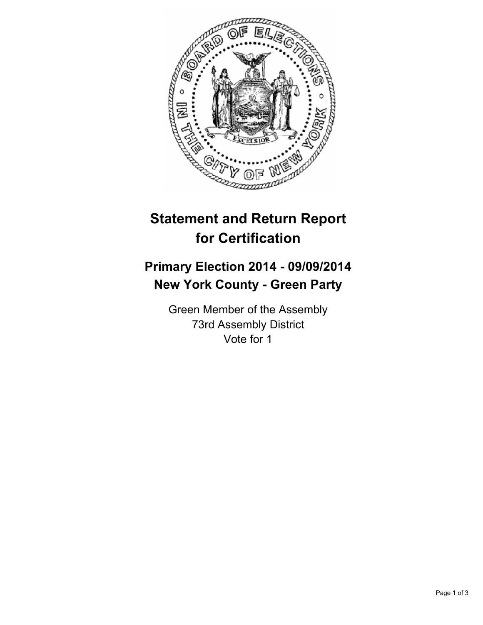

## **Statement and Return Report for Certification**

## **Primary Election 2014 - 09/09/2014 New York County - Green Party**

Green Member of the Assembly 73rd Assembly District Vote for 1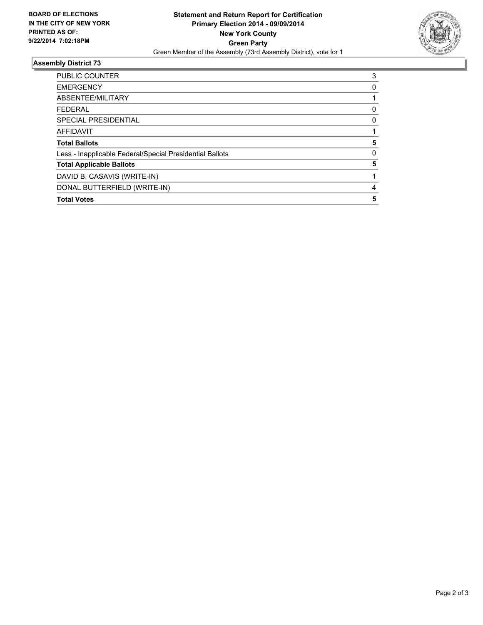

## **Assembly District 73**

| <b>PUBLIC COUNTER</b>                                    | 3        |
|----------------------------------------------------------|----------|
| <b>EMERGENCY</b>                                         | 0        |
| ABSENTEE/MILITARY                                        |          |
| <b>FEDERAL</b>                                           | 0        |
| <b>SPECIAL PRESIDENTIAL</b>                              | 0        |
| <b>AFFIDAVIT</b>                                         |          |
| <b>Total Ballots</b>                                     | 5        |
| Less - Inapplicable Federal/Special Presidential Ballots | $\Omega$ |
| <b>Total Applicable Ballots</b>                          | 5        |
| DAVID B. CASAVIS (WRITE-IN)                              |          |
| DONAL BUTTERFIELD (WRITE-IN)                             | 4        |
| <b>Total Votes</b>                                       | 5        |